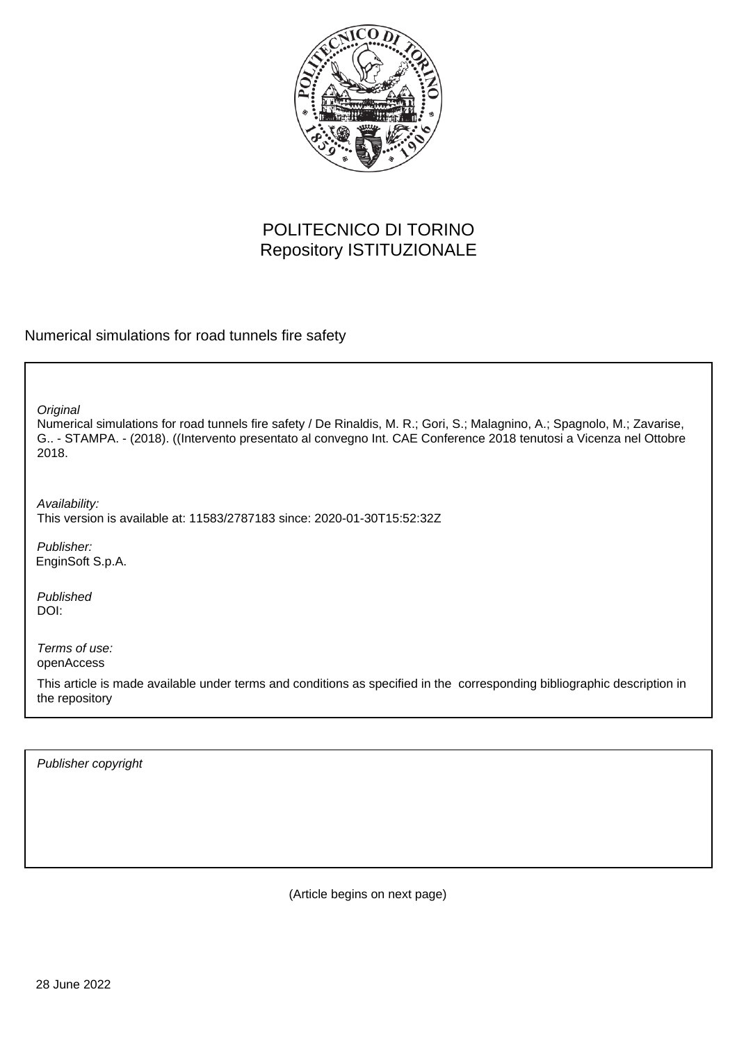

## POLITECNICO DI TORINO Repository ISTITUZIONALE

Numerical simulations for road tunnels fire safety

**Original** 

Numerical simulations for road tunnels fire safety / De Rinaldis, M. R.; Gori, S.; Malagnino, A.; Spagnolo, M.; Zavarise, G.. - STAMPA. - (2018). ((Intervento presentato al convegno Int. CAE Conference 2018 tenutosi a Vicenza nel Ottobre 2018.

Availability: This version is available at: 11583/2787183 since: 2020-01-30T15:52:32Z

Publisher: EnginSoft S.p.A.

Published DOI:

Terms of use: openAccess

This article is made available under terms and conditions as specified in the corresponding bibliographic description in the repository

Publisher copyright

(Article begins on next page)